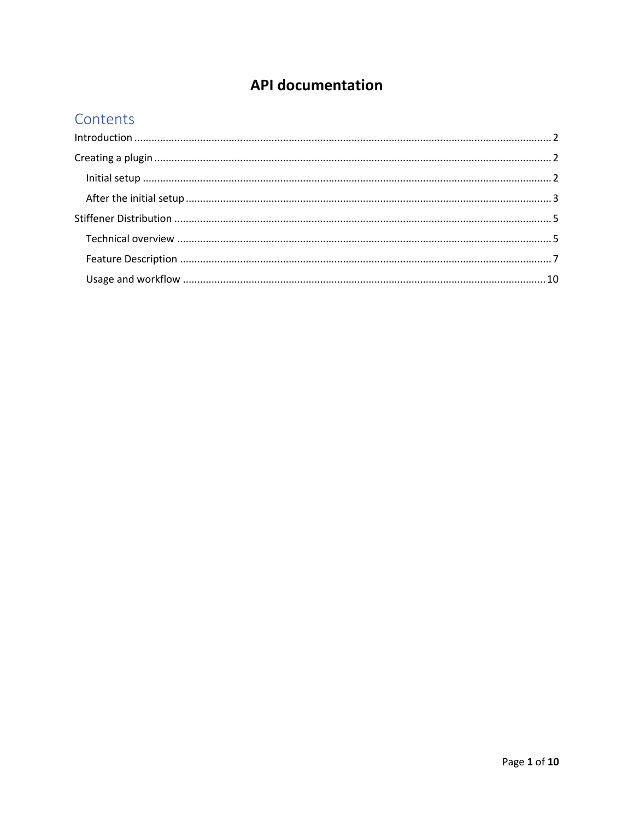# **API documentation**

# Contents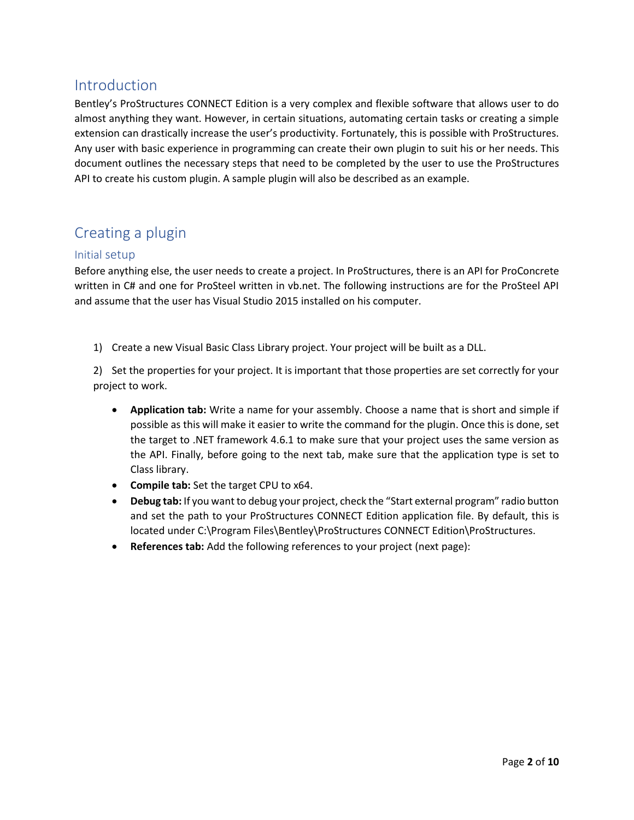# <span id="page-1-0"></span>Introduction

Bentley's ProStructures CONNECT Edition is a very complex and flexible software that allows user to do almost anything they want. However, in certain situations, automating certain tasks or creating a simple extension can drastically increase the user's productivity. Fortunately, this is possible with ProStructures. Any user with basic experience in programming can create their own plugin to suit his or her needs. This document outlines the necessary steps that need to be completed by the user to use the ProStructures API to create his custom plugin. A sample plugin will also be described as an example.

# <span id="page-1-1"></span>Creating a plugin

### <span id="page-1-2"></span>Initial setup

Before anything else, the user needs to create a project. In ProStructures, there is an API for ProConcrete written in C# and one for ProSteel written in vb.net. The following instructions are for the ProSteel API and assume that the user has Visual Studio 2015 installed on his computer.

1) Create a new Visual Basic Class Library project. Your project will be built as a DLL.

2) Set the properties for your project. It is important that those properties are set correctly for your project to work.

- **Application tab:** Write a name for your assembly. Choose a name that is short and simple if possible as this will make it easier to write the command for the plugin. Once this is done, set the target to .NET framework 4.6.1 to make sure that your project uses the same version as the API. Finally, before going to the next tab, make sure that the application type is set to Class library.
- **Compile tab:** Set the target CPU to x64.
- **Debug tab:** If you want to debug your project, check the "Start external program" radio button and set the path to your ProStructures CONNECT Edition application file. By default, this is located under C:\Program Files\Bentley\ProStructures CONNECT Edition\ProStructures.
- **References tab:** Add the following references to your project (next page):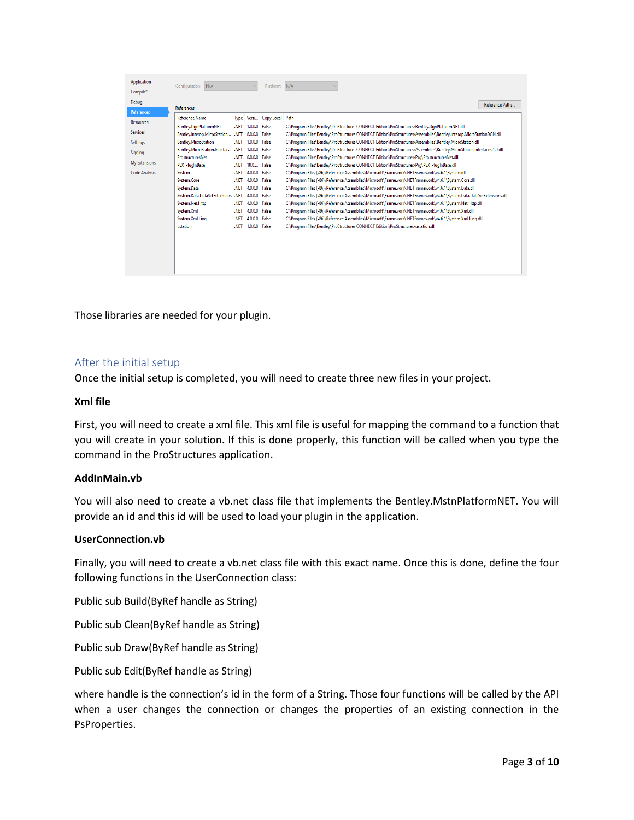| Application          | N/A<br>Configuration:                                  |                                                                                                                                      |                                                                                                                           | Platform: N/A         |                                                                                                                         |                 |  |  |
|----------------------|--------------------------------------------------------|--------------------------------------------------------------------------------------------------------------------------------------|---------------------------------------------------------------------------------------------------------------------------|-----------------------|-------------------------------------------------------------------------------------------------------------------------|-----------------|--|--|
| Compile*             |                                                        |                                                                                                                                      |                                                                                                                           |                       |                                                                                                                         |                 |  |  |
| Debug                |                                                        |                                                                                                                                      |                                                                                                                           |                       |                                                                                                                         | Reference Paths |  |  |
| References           | References:                                            |                                                                                                                                      |                                                                                                                           |                       |                                                                                                                         |                 |  |  |
| <b>Resources</b>     | <b>Reference Name</b>                                  | <b>Type</b>                                                                                                                          |                                                                                                                           | Versi Copy Local Path |                                                                                                                         |                 |  |  |
|                      | Bentley.DanPlatformNET                                 | .NFT                                                                                                                                 | 1.0.0.0                                                                                                                   | False                 | C:\Program Files\Bentley\ProStructures CONNECT Edition\ProStructures\Bentley.DgnPlatformNET.dll                         |                 |  |  |
| <b>Services</b>      | Bentley.Interop.MicroStation                           | .NET                                                                                                                                 | 8.0.0.0 False                                                                                                             |                       | C:\Program Files\Bentley\ProStructures CONNECT Edition\ProStructures\Assemblies\Bentley.Interop.MicroStationDGN.dll     |                 |  |  |
| Settings             | Bentlev.MicroStation                                   | .NET                                                                                                                                 | 1.0.0.0 False                                                                                                             |                       | C:\Program Files\Bentley\ProStructures CONNECT Edition\ProStructures\Assemblies\Bentley.MicroStation.dll                |                 |  |  |
| Signing              | .NET<br>1.0.0.0 False<br>Bentley.MicroStation.Interfac |                                                                                                                                      |                                                                                                                           |                       | C:\Program Files\Bentley\ProStructures CONNECT Edition\ProStructures\Assemblies\Bentley.MicroStation.Interfaces.1.0.dll |                 |  |  |
|                      | ProstructuresNet                                       | .NET                                                                                                                                 | 0.0.0.0                                                                                                                   | False                 | C:\Program Files\Bentley\ProStructures CONNECT Edition\ProStructures\Prg\ProstructuresNet.dll                           |                 |  |  |
| My Extensions        | <b>PSX PlugInBase</b>                                  | <b>NET</b>                                                                                                                           | 18.0                                                                                                                      | False                 | C:\Program Files\Bentley\ProStructures CONNECT Edition\ProStructures\Prg\PSX_PlugInBase.dll                             |                 |  |  |
| <b>Code Analysis</b> | System                                                 | .NFT                                                                                                                                 | 4.0.0.0 False                                                                                                             |                       | C:\Program Files (x86)\Reference Assemblies\Microsoft\Framework\.NETFramework\v4.6.1\System.dll                         |                 |  |  |
|                      | System.Core                                            | .NET                                                                                                                                 | 4.0.0.0                                                                                                                   | False                 | C:\Program Files (x86)\Reference Assemblies\Microsoft\Framework\.NETFramework\v4.6.1\System.Core.dll                    |                 |  |  |
|                      | System.Data                                            | <b>NET</b>                                                                                                                           | 4.0.0.0                                                                                                                   | False                 | C:\Program Files (x86)\Reference Assemblies\Microsoft\Framework\.NETFramework\v4.6.1\System.Data.dll                    |                 |  |  |
|                      | System.Data.DataSetExtensions .NET                     |                                                                                                                                      | 4.0.0.0                                                                                                                   | False                 | C:\Program Files (x86)\Reference Assemblies\Microsoft\Framework\.NETFramework\v4.6.1\System.Data.DataSetExtensions.dll  |                 |  |  |
|                      | System.Net.Http                                        | 4.0.0.0<br>C:\Program Files (x86)\Reference Assemblies\Microsoft\Framework\.NETFramework\v4.6.1\System.Net.Http.dll<br>.NFT<br>False |                                                                                                                           |                       |                                                                                                                         |                 |  |  |
| System.Xml           |                                                        | .NET                                                                                                                                 | 4.0.0.0 False                                                                                                             |                       | C:\Program Files (x86)\Reference Assemblies\Microsoft\Framework\.NETFramework\v4.6.1\System.Xml.dll                     |                 |  |  |
|                      | System.Xml.Ling                                        | .NET                                                                                                                                 | C:\Program Files (x86)\Reference Assemblies\Microsoft\Framework\.NETFramework\v4.6.1\Svstem.Xml.Ling.dll<br>4.0.0.0 False |                       |                                                                                                                         |                 |  |  |
|                      | ustation                                               | <b>NET</b>                                                                                                                           | 1.0.0.0 False                                                                                                             |                       | C:\Program Files\Bentley\ProStructures CONNECT Edition\ProStructures\ustation.dll                                       |                 |  |  |
|                      |                                                        |                                                                                                                                      |                                                                                                                           |                       |                                                                                                                         |                 |  |  |
|                      |                                                        |                                                                                                                                      |                                                                                                                           |                       |                                                                                                                         |                 |  |  |
|                      |                                                        |                                                                                                                                      |                                                                                                                           |                       |                                                                                                                         |                 |  |  |
|                      |                                                        |                                                                                                                                      |                                                                                                                           |                       |                                                                                                                         |                 |  |  |
|                      |                                                        |                                                                                                                                      |                                                                                                                           |                       |                                                                                                                         |                 |  |  |

Those libraries are needed for your plugin.

#### <span id="page-2-0"></span>After the initial setup

Once the initial setup is completed, you will need to create three new files in your project.

#### **Xml file**

First, you will need to create a xml file. This xml file is useful for mapping the command to a function that you will create in your solution. If this is done properly, this function will be called when you type the command in the ProStructures application.

#### **AddInMain.vb**

You will also need to create a vb.net class file that implements the Bentley.MstnPlatformNET. You will provide an id and this id will be used to load your plugin in the application.

#### **UserConnection.vb**

Finally, you will need to create a vb.net class file with this exact name. Once this is done, define the four following functions in the UserConnection class:

Public sub Build(ByRef handle as String)

Public sub Clean(ByRef handle as String)

Public sub Draw(ByRef handle as String)

Public sub Edit(ByRef handle as String)

where handle is the connection's id in the form of a String. Those four functions will be called by the API when a user changes the connection or changes the properties of an existing connection in the PsProperties.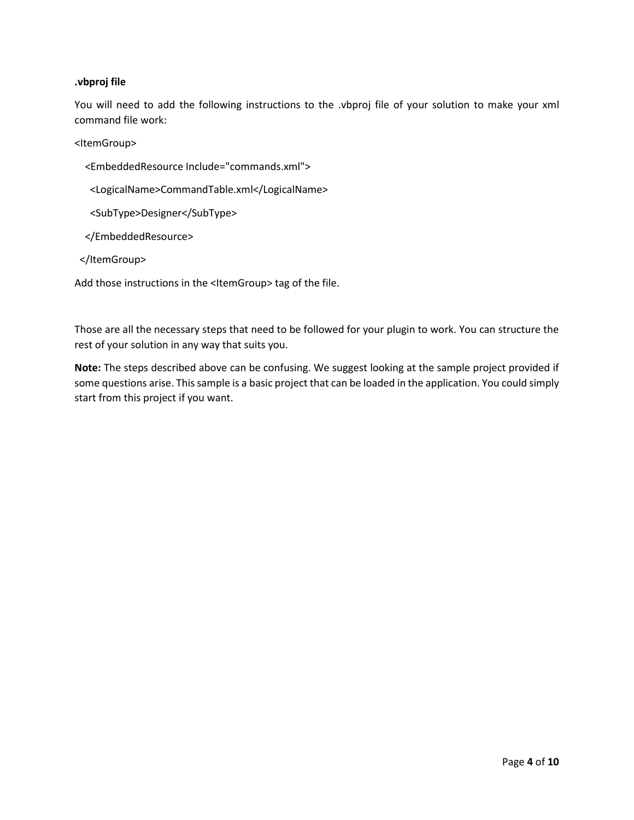#### **.vbproj file**

You will need to add the following instructions to the .vbproj file of your solution to make your xml command file work:

<ItemGroup>

- <EmbeddedResource Include="commands.xml">
- <LogicalName>CommandTable.xml</LogicalName>
- <SubType>Designer</SubType>
- </EmbeddedResource>
- </ItemGroup>

Add those instructions in the <ItemGroup> tag of the file.

Those are all the necessary steps that need to be followed for your plugin to work. You can structure the rest of your solution in any way that suits you.

**Note:** The steps described above can be confusing. We suggest looking at the sample project provided if some questions arise. This sample is a basic project that can be loaded in the application. You could simply start from this project if you want.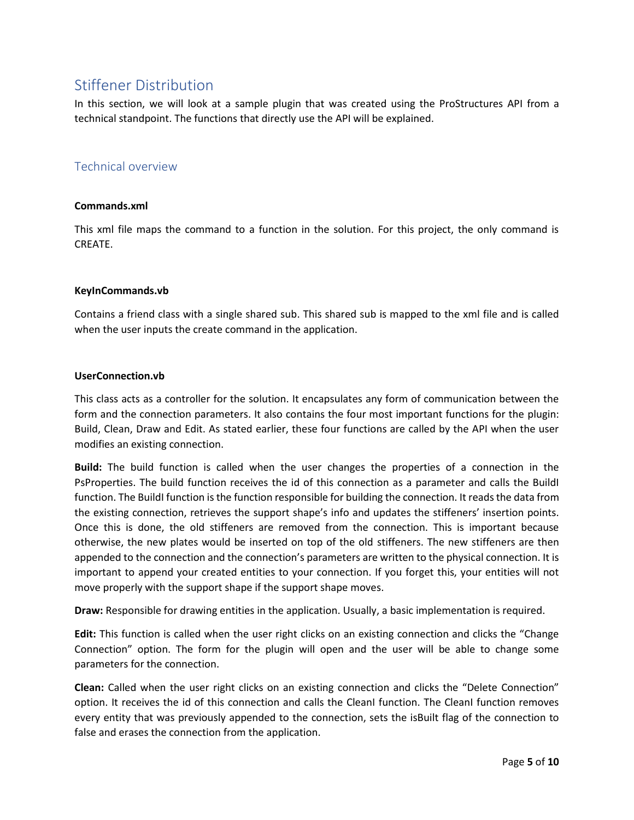# <span id="page-4-0"></span>Stiffener Distribution

In this section, we will look at a sample plugin that was created using the ProStructures API from a technical standpoint. The functions that directly use the API will be explained.

### <span id="page-4-1"></span>Technical overview

#### **Commands.xml**

This xml file maps the command to a function in the solution. For this project, the only command is CREATE.

#### **KeyInCommands.vb**

Contains a friend class with a single shared sub. This shared sub is mapped to the xml file and is called when the user inputs the create command in the application.

#### **UserConnection.vb**

This class acts as a controller for the solution. It encapsulates any form of communication between the form and the connection parameters. It also contains the four most important functions for the plugin: Build, Clean, Draw and Edit. As stated earlier, these four functions are called by the API when the user modifies an existing connection.

**Build:** The build function is called when the user changes the properties of a connection in the PsProperties. The build function receives the id of this connection as a parameter and calls the BuildI function. The BuildI function is the function responsible for building the connection. It reads the data from the existing connection, retrieves the support shape's info and updates the stiffeners' insertion points. Once this is done, the old stiffeners are removed from the connection. This is important because otherwise, the new plates would be inserted on top of the old stiffeners. The new stiffeners are then appended to the connection and the connection's parameters are written to the physical connection. It is important to append your created entities to your connection. If you forget this, your entities will not move properly with the support shape if the support shape moves.

**Draw:** Responsible for drawing entities in the application. Usually, a basic implementation is required.

**Edit:** This function is called when the user right clicks on an existing connection and clicks the "Change Connection" option. The form for the plugin will open and the user will be able to change some parameters for the connection.

**Clean:** Called when the user right clicks on an existing connection and clicks the "Delete Connection" option. It receives the id of this connection and calls the CleanI function. The CleanI function removes every entity that was previously appended to the connection, sets the isBuilt flag of the connection to false and erases the connection from the application.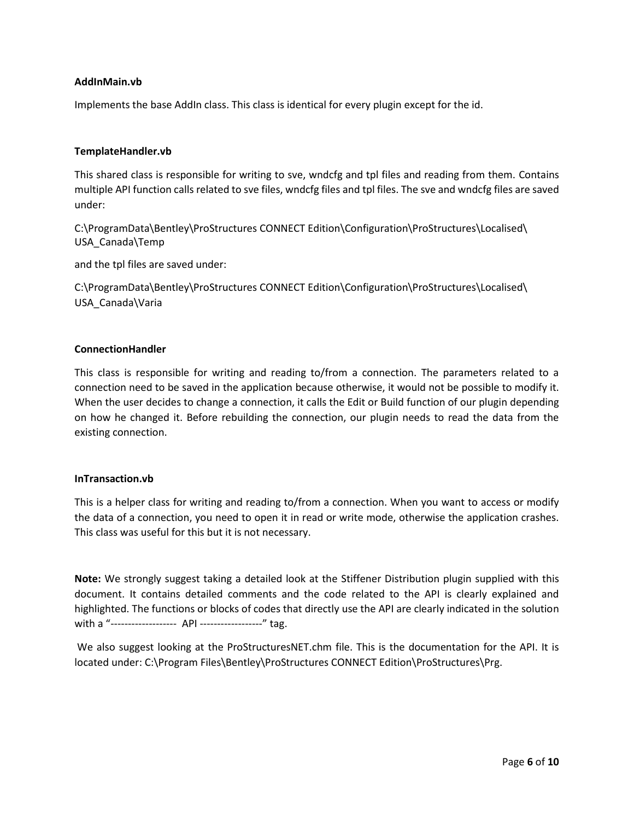#### **AddInMain.vb**

Implements the base AddIn class. This class is identical for every plugin except for the id.

#### **TemplateHandler.vb**

This shared class is responsible for writing to sve, wndcfg and tpl files and reading from them. Contains multiple API function calls related to sve files, wndcfg files and tpl files. The sve and wndcfg files are saved under:

C:\ProgramData\Bentley\ProStructures CONNECT Edition\Configuration\ProStructures\Localised\ USA\_Canada\Temp

and the tpl files are saved under:

C:\ProgramData\Bentley\ProStructures CONNECT Edition\Configuration\ProStructures\Localised\ USA\_Canada\Varia

#### **ConnectionHandler**

This class is responsible for writing and reading to/from a connection. The parameters related to a connection need to be saved in the application because otherwise, it would not be possible to modify it. When the user decides to change a connection, it calls the Edit or Build function of our plugin depending on how he changed it. Before rebuilding the connection, our plugin needs to read the data from the existing connection.

#### **InTransaction.vb**

This is a helper class for writing and reading to/from a connection. When you want to access or modify the data of a connection, you need to open it in read or write mode, otherwise the application crashes. This class was useful for this but it is not necessary.

**Note:** We strongly suggest taking a detailed look at the Stiffener Distribution plugin supplied with this document. It contains detailed comments and the code related to the API is clearly explained and highlighted. The functions or blocks of codes that directly use the API are clearly indicated in the solution with a "------------------- API ------------------" tag.

We also suggest looking at the ProStructuresNET.chm file. This is the documentation for the API. It is located under: C:\Program Files\Bentley\ProStructures CONNECT Edition\ProStructures\Prg.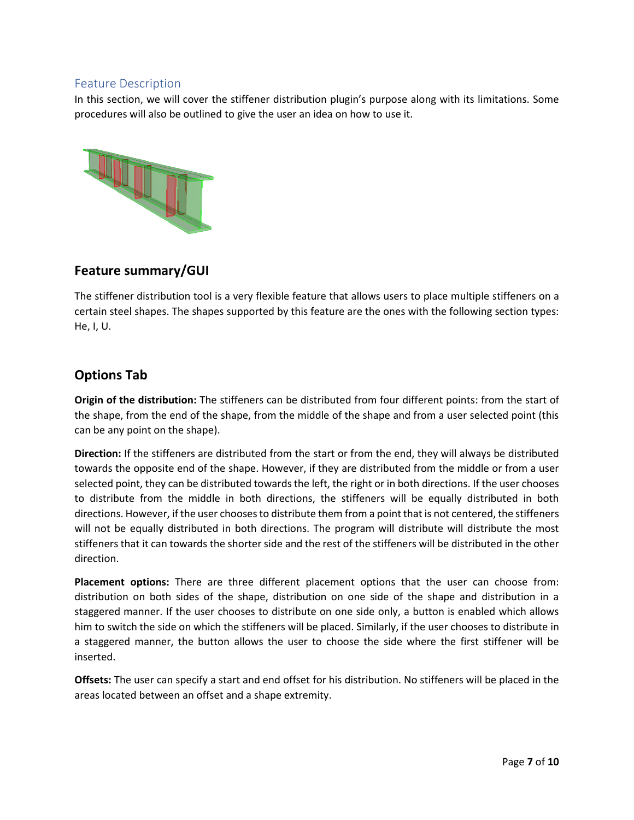### <span id="page-6-0"></span>Feature Description

In this section, we will cover the stiffener distribution plugin's purpose along with its limitations. Some procedures will also be outlined to give the user an idea on how to use it.



## **Feature summary/GUI**

The stiffener distribution tool is a very flexible feature that allows users to place multiple stiffeners on a certain steel shapes. The shapes supported by this feature are the ones with the following section types: He, I, U.

## **Options Tab**

**Origin of the distribution:** The stiffeners can be distributed from four different points: from the start of the shape, from the end of the shape, from the middle of the shape and from a user selected point (this can be any point on the shape).

**Direction:** If the stiffeners are distributed from the start or from the end, they will always be distributed towards the opposite end of the shape. However, if they are distributed from the middle or from a user selected point, they can be distributed towards the left, the right or in both directions. If the user chooses to distribute from the middle in both directions, the stiffeners will be equally distributed in both directions. However, if the user chooses to distribute them from a point that is not centered, the stiffeners will not be equally distributed in both directions. The program will distribute will distribute the most stiffeners that it can towards the shorter side and the rest of the stiffeners will be distributed in the other direction.

**Placement options:** There are three different placement options that the user can choose from: distribution on both sides of the shape, distribution on one side of the shape and distribution in a staggered manner. If the user chooses to distribute on one side only, a button is enabled which allows him to switch the side on which the stiffeners will be placed. Similarly, if the user chooses to distribute in a staggered manner, the button allows the user to choose the side where the first stiffener will be inserted.

**Offsets:** The user can specify a start and end offset for his distribution. No stiffeners will be placed in the areas located between an offset and a shape extremity.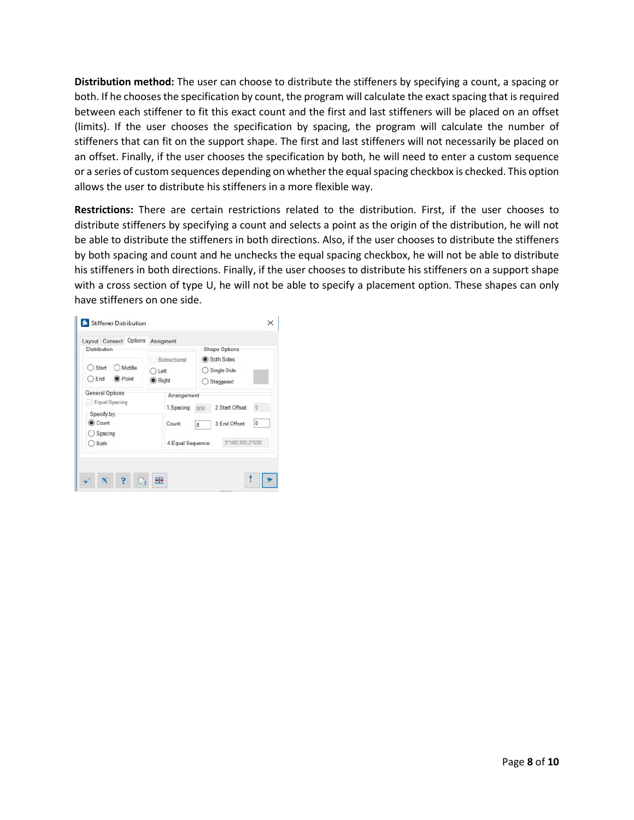**Distribution method:** The user can choose to distribute the stiffeners by specifying a count, a spacing or both. If he chooses the specification by count, the program will calculate the exact spacing that is required between each stiffener to fit this exact count and the first and last stiffeners will be placed on an offset (limits). If the user chooses the specification by spacing, the program will calculate the number of stiffeners that can fit on the support shape. The first and last stiffeners will not necessarily be placed on an offset. Finally, if the user chooses the specification by both, he will need to enter a custom sequence or a series of custom sequences depending on whether the equal spacing checkbox is checked. This option allows the user to distribute his stiffeners in a more flexible way.

**Restrictions:** There are certain restrictions related to the distribution. First, if the user chooses to distribute stiffeners by specifying a count and selects a point as the origin of the distribution, he will not be able to distribute the stiffeners in both directions. Also, if the user chooses to distribute the stiffeners by both spacing and count and he unchecks the equal spacing checkbox, he will not be able to distribute his stiffeners in both directions. Finally, if the user chooses to distribute his stiffeners on a support shape with a cross section of type U, he will not be able to specify a placement option. These shapes can only have stiffeners on one side.

| Distribution                                    | Layout Connect Options Assigment |                                                 | Shape Options    |         |
|-------------------------------------------------|----------------------------------|-------------------------------------------------|------------------|---------|
| Start<br>Middle<br>○ End<br>$\bullet$ Point     | Bidirectional<br>Left<br>Right   | <b>O</b> Both Sides<br>Single Side<br>Staggered |                  |         |
| General Options<br>Equal Spacing<br>Specify by: | Arrangement<br>1.Spacing         | 809                                             | 2. Start Offset: | $\circ$ |
| Count<br>Spacing                                | Count:                           | 8                                               | 3.End Offset:    | 0       |
| ◯ Both                                          | 4. Equal Sequence:               |                                                 | 3*100.300.2*500  |         |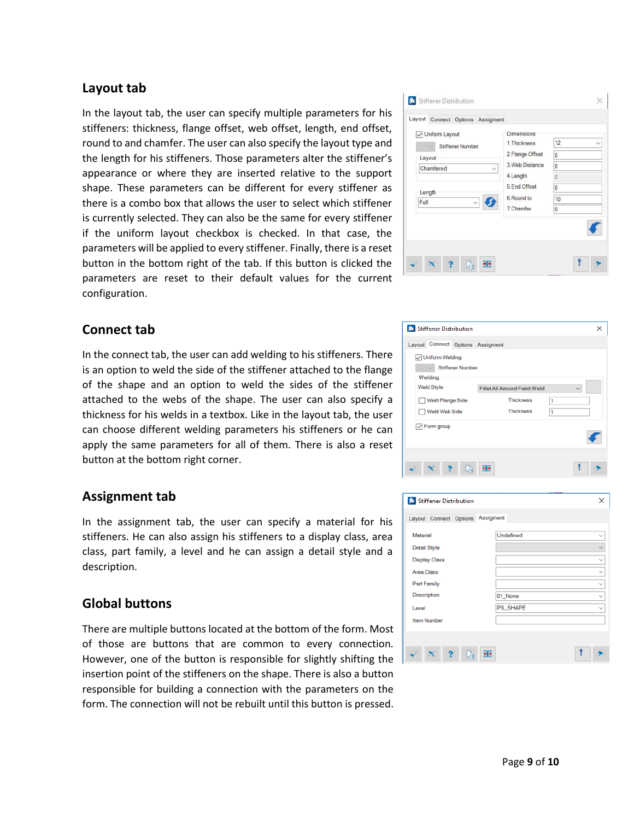## **Layout tab**

In the layout tab, the user can specify multiple parameters for his stiffeners: thickness, flange offset, web offset, length, end offset, round to and chamfer. The user can also specify the layout type and the length for his stiffeners. Those parameters alter the stiffener's appearance or where they are inserted relative to the support shape. These parameters can be different for every stiffener as there is a combo box that allows the user to select which stiffener is currently selected. They can also be the same for every stiffener if the uniform layout checkbox is checked. In that case, the parameters will be applied to every stiffener. Finally, there is a reset button in the bottom right of the tab. If this button is clicked the parameters are reset to their default values for the current configuration.



In the connect tab, the user can add welding to his stiffeners. There is an option to weld the side of the stiffener attached to the flange of the shape and an option to weld the sides of the stiffener attached to the webs of the shape. The user can also specify a thickness for his welds in a textbox. Like in the layout tab, the user can choose different welding parameters his stiffeners or he can apply the same parameters for all of them. There is also a reset button at the bottom right corner.

### **Assignment tab**

In the assignment tab, the user can specify a material for his stiffeners. He can also assign his stiffeners to a display class, area class, part family, a level and he can assign a detail style and a description.

### **Global buttons**

There are multiple buttons located at the bottom of the form. Most of those are buttons that are common to every connection. However, one of the button is responsible for slightly shifting the insertion point of the stiffeners on the shape. There is also a button responsible for building a connection with the parameters on the form. The connection will not be rebuilt until this button is pressed.

| Layout<br>Chamfered<br>$\checkmark$<br>Length<br>Full | 2. Flange Offset<br>3 Web Distance<br>4. Length<br>5.End Offset<br>6. Round to<br>7. Chamfer | 0<br>$\overline{0}$<br>ö<br>$\bf{0}$<br>10<br>0 |
|-------------------------------------------------------|----------------------------------------------------------------------------------------------|-------------------------------------------------|
|-------------------------------------------------------|----------------------------------------------------------------------------------------------|-------------------------------------------------|

| <b><i>C</i></b> Stiffener Distribution |                              |   |  |
|----------------------------------------|------------------------------|---|--|
| Layout Connect Options Assigment       |                              |   |  |
| <b>√ Uniform Welding</b>               |                              |   |  |
| <b>Stiffener Number</b>                |                              |   |  |
| Welding                                |                              |   |  |
| <b>Weld Style</b>                      | Fillet All Around Field Weld |   |  |
| Weld Flange Side                       | <b>Thickness</b>             | 1 |  |
| Weld Web Side                          | <b>Thickness</b>             | 1 |  |
| $\sqrt{}$ Form group                   |                              |   |  |
|                                        |                              |   |  |
|                                        |                              |   |  |
| C.                                     |                              |   |  |
|                                        |                              |   |  |

| <b><i>C</i></b> Stiffener Distribution |           | × |
|----------------------------------------|-----------|---|
| Layout Connect Options Assigment       |           |   |
| Material                               | Undefined |   |
| <b>Detail Style</b>                    |           |   |
| <b>Display Class</b>                   |           |   |
| <b>Area Class</b>                      |           |   |
| Part Family                            |           |   |
| Description                            | 01_None   |   |
| Level                                  | PS_SHAPE  |   |
| <b>Item Number</b>                     |           |   |
|                                        |           |   |
| Ġ                                      | ٠H        |   |